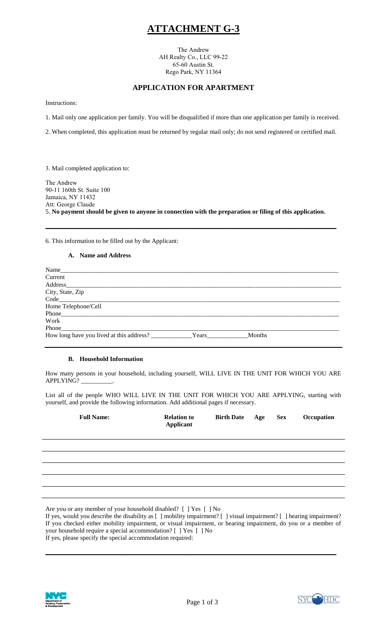# **ATTACHMENT G-3**

The Andrew AH Realty Co., LLC 99-22 65-60 Austin St. Rego Park, NY 11364

## **APPLICATION FOR APARTMENT**

Instructions:

1. Mail only one application per family. You will be disqualified if more than one application per family is received.

2. When completed, this application must be returned by regular mail only; do not send registered or certified mail.

3. Mail completed application to:

The Andrew 90-11 160th St. Suite 100 Jamaica, NY 11432 Att: George Claude 5. **No payment should be given to anyone in connection with the preparation or filing of this application. \_\_\_\_\_\_\_\_\_\_\_\_\_\_\_\_\_\_\_\_\_\_\_\_\_\_\_\_\_\_\_\_\_\_\_\_\_\_\_\_\_\_\_\_\_\_**

6. This information to be filled out by the Applicant:

### **A. Name and Address**

| Name                |       |        |
|---------------------|-------|--------|
| Current             |       |        |
| Address             |       |        |
| City, State, Zip    |       |        |
| Code                |       |        |
| Home Telephone/Cell |       |        |
|                     |       |        |
| Work                |       |        |
| Phone               |       |        |
|                     | Years | Months |

### **B. Household Information**

How many persons in your household, including yourself, WILL LIVE IN THE UNIT FOR WHICH YOU ARE APPLYING? \_\_\_\_\_\_\_\_\_\_.

List all of the people WHO WILL LIVE IN THE UNIT FOR WHICH YOU ARE APPLYING, starting with yourself, and provide the following information. Add additional pages if necessary.

| <b>Full Name:</b> | <b>Relation to</b><br><b>Applicant</b> | Birth Date Age Sex |  | Occupation |
|-------------------|----------------------------------------|--------------------|--|------------|
|                   |                                        |                    |  |            |
|                   |                                        |                    |  |            |
|                   |                                        |                    |  |            |
|                   |                                        |                    |  |            |
|                   |                                        |                    |  |            |

Are you or any member of your household disabled? [ ] Yes [ ] No

If yes, would you describe the disability as [ ] mobility impairment? [ ] visual impairment? [ ] hearing impairment? If you checked either mobility impairment, or visual impairment, or hearing impairment, do you or a member of your household require a special accommodation? [ ] Yes [ ] No If yes, please specify the special accommodation required:

**\_\_\_\_\_\_\_\_\_\_\_\_\_\_\_\_\_\_\_\_\_\_\_\_\_\_\_\_\_\_\_\_\_\_\_\_\_\_\_\_\_\_\_\_\_\_** 



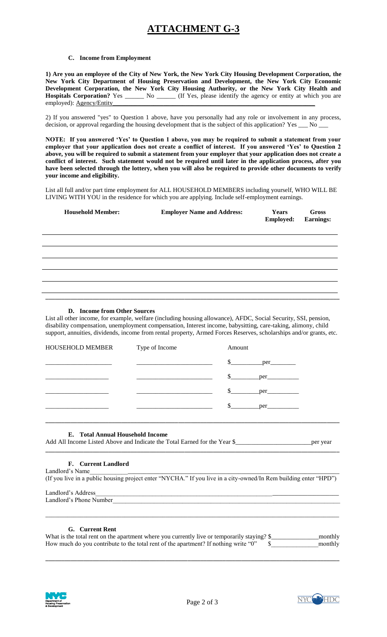# **ATTACHMENT G-3**

### **C. Income from Employment**

**1) Are you an employee of the City of New York, the New York City Housing Development Corporation, the New York City Department of Housing Preservation and Development, the New York City Economic Development Corporation, the New York City Housing Authority, or the New York City Health and**  Hospitals Corporation? Yes \_\_\_\_\_\_ No \_\_\_\_\_ (If Yes, please identify the agency or entity at which you are employed): <u>Agency</u>/Entity

2) If you answered "yes" to Question 1 above, have you personally had any role or involvement in any process, decision, or approval regarding the housing development that is the subject of this application? Yes \_\_\_ No \_

**NOTE: If you answered 'Yes' to Question 1 above, you may be required to submit a statement from your employer that your application does not create a conflict of interest. If you answered 'Yes' to Question 2 above, you will be required to submit a statement from your employer that your application does not create a conflict of interest. Such statement would not be required until later in the application process, after you have been selected through the lottery, when you will also be required to provide other documents to verify your income and eligibility.** 

List all full and/or part time employment for ALL HOUSEHOLD MEMBERS including yourself, WHO WILL BE LIVING WITH YOU in the residence for which you are applying. Include self-employment earnings.

| <b>Household Member:</b> | <b>Employer Name and Address:</b> | Years<br><b>Employed:</b> | Gross<br><b>Earnings:</b> |
|--------------------------|-----------------------------------|---------------------------|---------------------------|
|                          |                                   |                           |                           |
|                          |                                   |                           |                           |
|                          |                                   |                           |                           |
|                          |                                   |                           |                           |
|                          |                                   |                           |                           |
|                          |                                   |                           |                           |

### **D. Income from Other Sources**

List all other income, for example, welfare (including housing allowance), AFDC, Social Security, SSI, pension, disability compensation, unemployment compensation, Interest income, babysitting, care-taking, alimony, child support, annuities, dividends, income from rental property, Armed Forces Reserves, scholarships and/or grants, etc.

| HOUSEHOLD MEMBER Type of Income | Amount |  |
|---------------------------------|--------|--|
|                                 |        |  |
|                                 |        |  |
|                                 |        |  |
|                                 |        |  |
|                                 |        |  |

### **E. Total Annual Household Income**

Add All Income Listed Above and Indicate the Total Earned for the Year \$\_\_\_\_\_\_\_\_\_\_\_\_\_\_\_\_\_\_\_\_\_\_\_\_per year **\_\_\_\_\_\_\_\_\_\_\_\_\_\_\_\_\_\_\_\_\_\_\_\_\_\_\_\_\_\_\_\_\_\_\_\_\_\_\_\_\_\_\_\_\_\_\_\_\_\_\_\_\_\_\_\_\_\_\_\_\_\_\_\_\_\_\_\_\_\_\_\_\_\_\_\_\_\_\_\_\_\_\_\_\_\_\_\_\_\_\_\_\_** 

### **F. Current Landlord**

Landlord's Name (If you live in a public housing project enter "NYCHA." If you live in a city-owned/In Rem building enter "HPD")

Landlord's Address Landlord's Phone Number

## **G. Current Rent**

| What is the total rent on the apartment where you currently live or temporarily staying? \$ | monthly |
|---------------------------------------------------------------------------------------------|---------|
| How much do you contribute to the total rent of the apartment? If nothing write "0"         | monthly |

**\_\_\_\_\_\_\_\_\_\_\_\_\_\_\_\_\_\_\_\_\_\_\_\_\_\_\_\_\_\_\_\_\_\_\_\_\_\_\_\_\_\_\_\_\_\_\_\_\_\_\_\_\_\_\_\_\_\_\_\_\_\_\_\_\_\_\_\_\_\_\_\_\_\_\_\_\_\_\_\_\_\_\_\_\_\_\_\_\_\_\_\_\_** 

\_\_\_\_\_\_\_\_\_\_\_\_\_\_\_\_\_\_\_\_\_\_\_\_\_\_\_\_\_\_\_\_\_\_\_\_\_\_\_\_\_\_\_\_\_\_\_\_\_\_\_\_\_\_\_\_\_\_\_\_\_\_\_\_\_\_\_\_\_\_\_\_\_\_\_\_\_\_\_\_\_\_\_\_\_\_\_\_\_\_\_\_\_